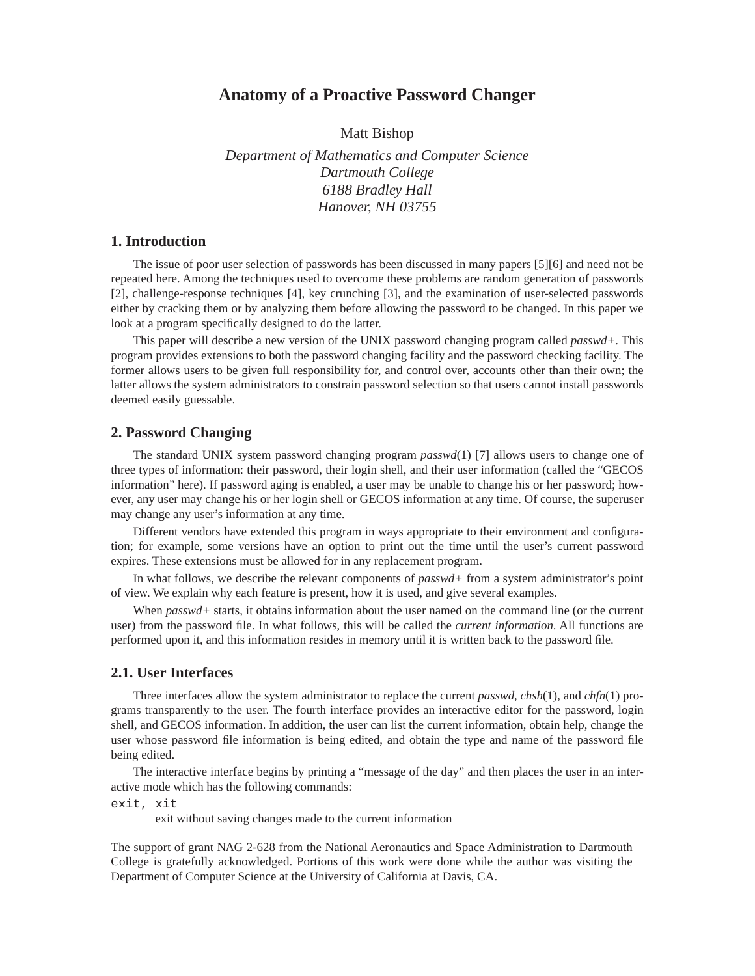# **Anatomy of a Proactive Password Changer**

Matt Bishop

*Department of Mathematics and Computer Science Dartmouth College 6188 Bradley Hall Hanover, NH 03755*

# **1. Introduction**

The issue of poor user selection of passwords has been discussed in many papers [5][6] and need not be repeated here. Among the techniques used to overcome these problems are random generation of passwords [2], challenge-response techniques [4], key crunching [3], and the examination of user-selected passwords either by cracking them or by analyzing them before allowing the password to be changed. In this paper we look at a program specifically designed to do the latter.

This paper will describe a new version of the UNIX password changing program called *passwd+*. This program provides extensions to both the password changing facility and the password checking facility. The former allows users to be given full responsibility for, and control over, accounts other than their own; the latter allows the system administrators to constrain password selection so that users cannot install passwords deemed easily guessable.

# **2. Password Changing**

The standard UNIX system password changing program *passwd*(1) [7] allows users to change one of three types of information: their password, their login shell, and their user information (called the "GECOS information" here). If password aging is enabled, a user may be unable to change his or her password; however, any user may change his or her login shell or GECOS information at any time. Of course, the superuser may change any user's information at any time.

Different vendors have extended this program in ways appropriate to their environment and configuration; for example, some versions have an option to print out the time until the user's current password expires. These extensions must be allowed for in any replacement program.

In what follows, we describe the relevant components of *passwd+* from a system administrator's point of view. We explain why each feature is present, how it is used, and give several examples.

When *passwd* + starts, it obtains information about the user named on the command line (or the current user) from the password file. In what follows, this will be called the *current information*. All functions are performed upon it, and this information resides in memory until it is written back to the password file.

### **2.1. User Interfaces**

Three interfaces allow the system administrator to replace the current *passwd*, *chsh*(1), and *chfn*(1) programs transparently to the user. The fourth interface provides an interactive editor for the password, login shell, and GECOS information. In addition, the user can list the current information, obtain help, change the user whose password file information is being edited, and obtain the type and name of the password file being edited.

The interactive interface begins by printing a "message of the day" and then places the user in an interactive mode which has the following commands:

exit, xit

exit without saving changes made to the current information

The support of grant NAG 2-628 from the National Aeronautics and Space Administration to Dartmouth College is gratefully acknowledged. Portions of this work were done while the author was visiting the Department of Computer Science at the University of California at Davis, CA.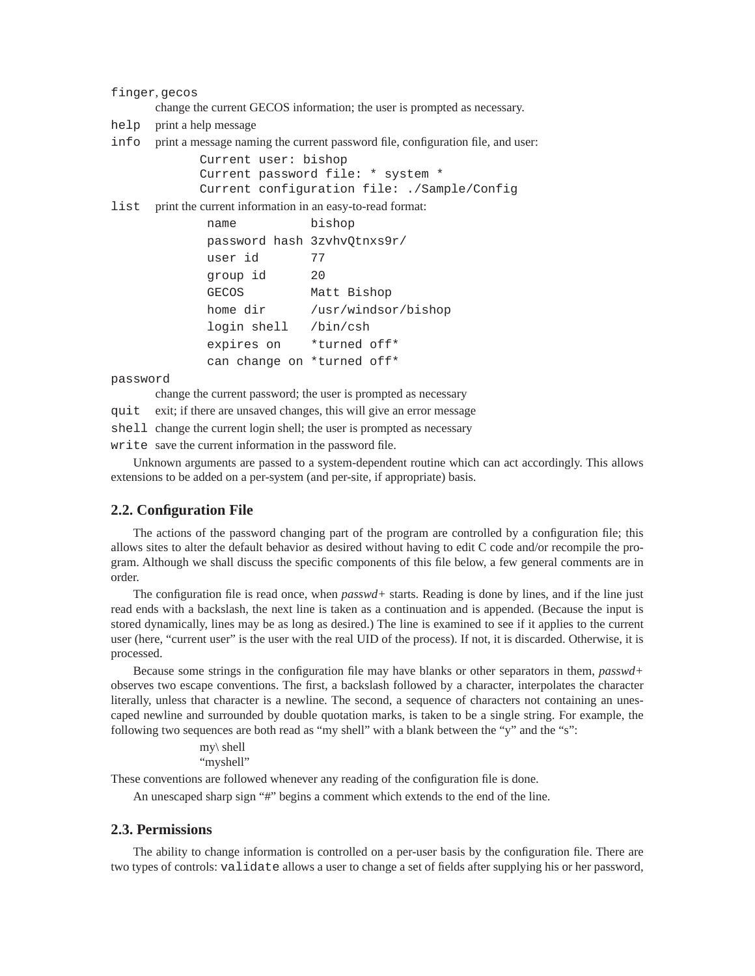finger, gecos

change the current GECOS information; the user is prompted as necessary.

help print a help message

info print a message naming the current password file, configuration file, and user:

```
Current user: bishop
Current password file: * system *
Current configuration file: ./Sample/Config
```
list print the current information in an easy-to-read format:

```
 name bishop
 password hash 3zvhvQtnxs9r/
 user id 77
 group id 20
 GECOS Matt Bishop
home dir /usr/windsor/bishop
 login shell /bin/csh
 expires on *turned off*
 can change on *turned off*
```
password

change the current password; the user is prompted as necessary

quit exit; if there are unsaved changes, this will give an error message

shell change the current login shell; the user is prompted as necessary

write save the current information in the password file.

Unknown arguments are passed to a system-dependent routine which can act accordingly. This allows extensions to be added on a per-system (and per-site, if appropriate) basis.

### **2.2. Configuration File**

The actions of the password changing part of the program are controlled by a configuration file; this allows sites to alter the default behavior as desired without having to edit C code and/or recompile the program. Although we shall discuss the specific components of this file below, a few general comments are in order.

The configuration file is read once, when *passwd+* starts. Reading is done by lines, and if the line just read ends with a backslash, the next line is taken as a continuation and is appended. (Because the input is stored dynamically, lines may be as long as desired.) The line is examined to see if it applies to the current user (here, "current user" is the user with the real UID of the process). If not, it is discarded. Otherwise, it is processed.

Because some strings in the configuration file may have blanks or other separators in them, *passwd+* observes two escape conventions. The first, a backslash followed by a character, interpolates the character literally, unless that character is a newline. The second, a sequence of characters not containing an unescaped newline and surrounded by double quotation marks, is taken to be a single string. For example, the following two sequences are both read as "my shell" with a blank between the "y" and the "s":

```
my\ shell
"myshell"
```
These conventions are followed whenever any reading of the configuration file is done.

An unescaped sharp sign "#" begins a comment which extends to the end of the line.

### **2.3. Permissions**

The ability to change information is controlled on a per-user basis by the configuration file. There are two types of controls: validate allows a user to change a set of fields after supplying his or her password,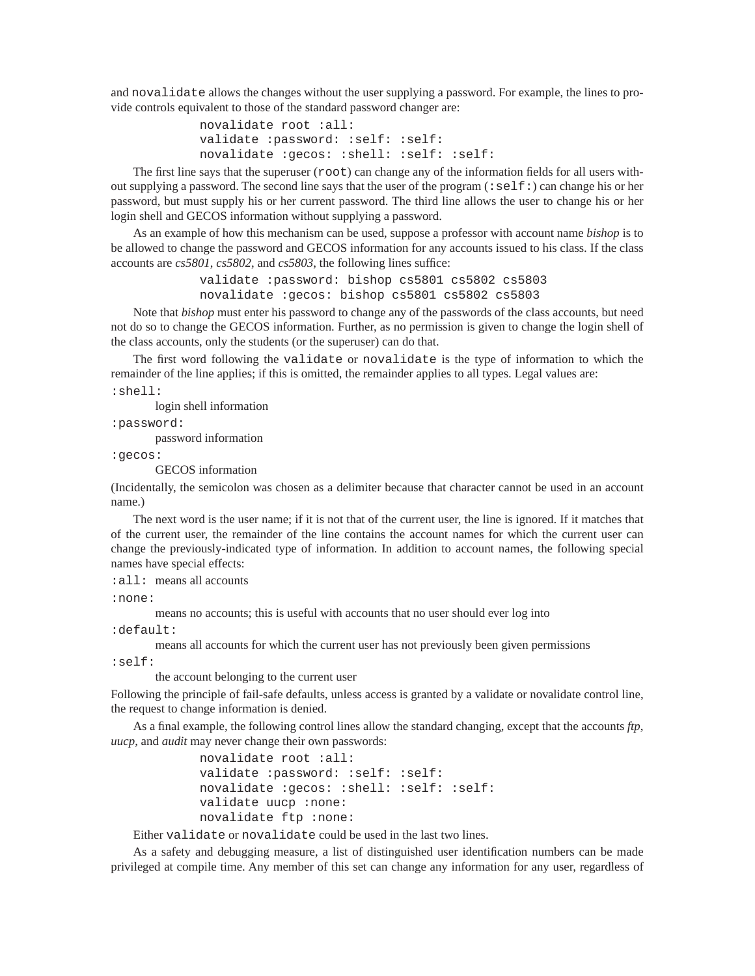and novalidate allows the changes without the user supplying a password. For example, the lines to provide controls equivalent to those of the standard password changer are:

> novalidate root :all: validate :password: :self: :self: novalidate :gecos: :shell: :self: :self:

The first line says that the superuser ( $\text{root}$ ) can change any of the information fields for all users without supplying a password. The second line says that the user of the program (:self:) can change his or her password, but must supply his or her current password. The third line allows the user to change his or her login shell and GECOS information without supplying a password.

As an example of how this mechanism can be used, suppose a professor with account name *bishop* is to be allowed to change the password and GECOS information for any accounts issued to his class. If the class accounts are *cs5801*, *cs5802*, and *cs5803*, the following lines suffice:

> validate :password: bishop cs5801 cs5802 cs5803 novalidate :gecos: bishop cs5801 cs5802 cs5803

Note that *bishop* must enter his password to change any of the passwords of the class accounts, but need not do so to change the GECOS information. Further, as no permission is given to change the login shell of the class accounts, only the students (or the superuser) can do that.

The first word following the validate or novalidate is the type of information to which the remainder of the line applies; if this is omitted, the remainder applies to all types. Legal values are:

:shell:

login shell information

:password:

password information

:gecos:

GECOS information

(Incidentally, the semicolon was chosen as a delimiter because that character cannot be used in an account name.)

The next word is the user name; if it is not that of the current user, the line is ignored. If it matches that of the current user, the remainder of the line contains the account names for which the current user can change the previously-indicated type of information. In addition to account names, the following special names have special effects:

: all: means all accounts

:none:

means no accounts; this is useful with accounts that no user should ever log into

:default:

means all accounts for which the current user has not previously been given permissions

:self:

the account belonging to the current user

Following the principle of fail-safe defaults, unless access is granted by a validate or novalidate control line, the request to change information is denied.

As a final example, the following control lines allow the standard changing, except that the accounts *ftp*, *uucp*, and *audit* may never change their own passwords:

> novalidate root :all: validate :password: :self: :self: novalidate :gecos: :shell: :self: :self: validate uucp :none: novalidate ftp :none:

Either validate or novalidate could be used in the last two lines.

As a safety and debugging measure, a list of distinguished user identification numbers can be made privileged at compile time. Any member of this set can change any information for any user, regardless of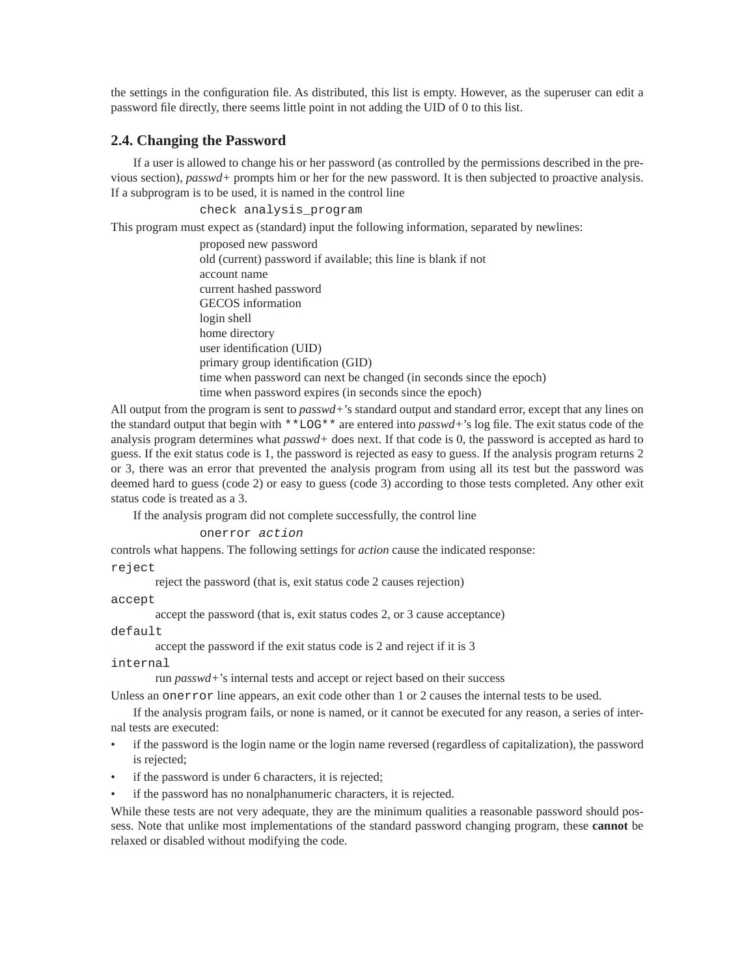the settings in the configuration file. As distributed, this list is empty. However, as the superuser can edit a password file directly, there seems little point in not adding the UID of 0 to this list.

# **2.4. Changing the Password**

If a user is allowed to change his or her password (as controlled by the permissions described in the previous section), *passwd+* prompts him or her for the new password. It is then subjected to proactive analysis. If a subprogram is to be used, it is named in the control line

check analysis\_program

This program must expect as (standard) input the following information, separated by newlines:

proposed new password old (current) password if available; this line is blank if not account name current hashed password GECOS information login shell home directory user identification (UID) primary group identification (GID) time when password can next be changed (in seconds since the epoch) time when password expires (in seconds since the epoch)

All output from the program is sent to *passwd+*'s standard output and standard error, except that any lines on the standard output that begin with \*\*LOG\*\* are entered into *passwd+*'s log file. The exit status code of the analysis program determines what *passwd+* does next. If that code is 0, the password is accepted as hard to guess. If the exit status code is 1, the password is rejected as easy to guess. If the analysis program returns 2 or 3, there was an error that prevented the analysis program from using all its test but the password was deemed hard to guess (code 2) or easy to guess (code 3) according to those tests completed. Any other exit status code is treated as a 3.

If the analysis program did not complete successfully, the control line

onerror action

controls what happens. The following settings for *action* cause the indicated response: reject

reject the password (that is, exit status code 2 causes rejection)

accept

accept the password (that is, exit status codes 2, or 3 cause acceptance)

default

accept the password if the exit status code is 2 and reject if it is 3

internal

run *passwd+*'s internal tests and accept or reject based on their success

Unless an onerror line appears, an exit code other than 1 or 2 causes the internal tests to be used.

If the analysis program fails, or none is named, or it cannot be executed for any reason, a series of internal tests are executed:

- if the password is the login name or the login name reversed (regardless of capitalization), the password is rejected;
- if the password is under 6 characters, it is rejected;
- if the password has no nonalphanumeric characters, it is rejected.

While these tests are not very adequate, they are the minimum qualities a reasonable password should possess. Note that unlike most implementations of the standard password changing program, these **cannot** be relaxed or disabled without modifying the code.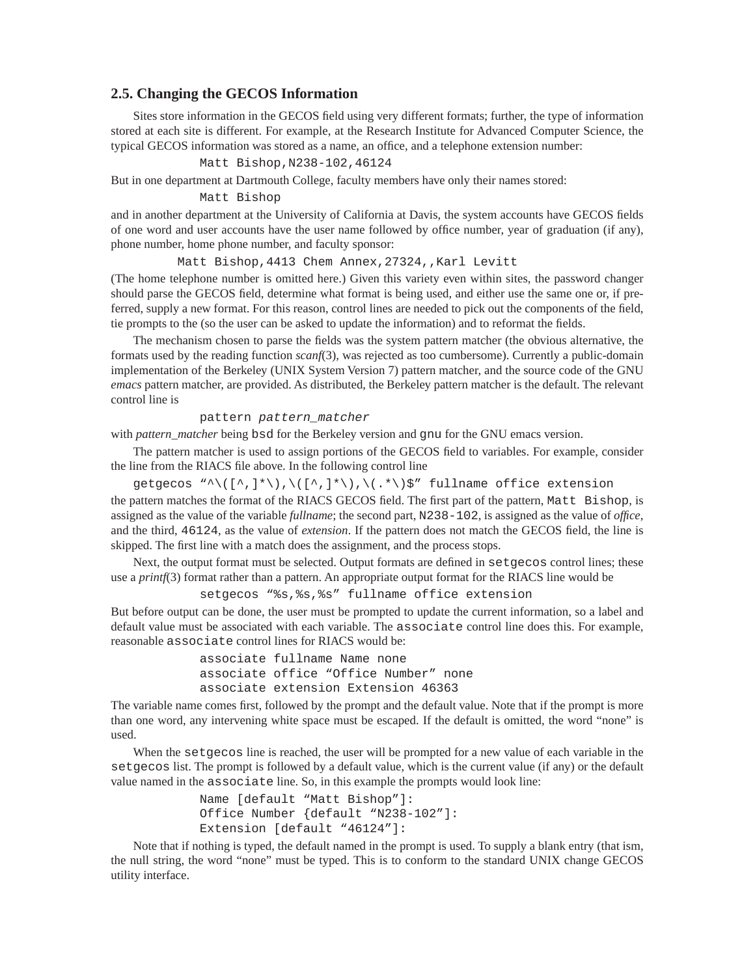# **2.5. Changing the GECOS Information**

Sites store information in the GECOS field using very different formats; further, the type of information stored at each site is different. For example, at the Research Institute for Advanced Computer Science, the typical GECOS information was stored as a name, an office, and a telephone extension number:

#### Matt Bishop,N238-102,46124

But in one department at Dartmouth College, faculty members have only their names stored:

#### Matt Bishop

and in another department at the University of California at Davis, the system accounts have GECOS fields of one word and user accounts have the user name followed by office number, year of graduation (if any), phone number, home phone number, and faculty sponsor:

Matt Bishop, 4413 Chem Annex, 27324, , Karl Levitt

(The home telephone number is omitted here.) Given this variety even within sites, the password changer should parse the GECOS field, determine what format is being used, and either use the same one or, if preferred, supply a new format. For this reason, control lines are needed to pick out the components of the field, tie prompts to the (so the user can be asked to update the information) and to reformat the fields.

The mechanism chosen to parse the fields was the system pattern matcher (the obvious alternative, the formats used by the reading function *scanf*(3), was rejected as too cumbersome). Currently a public-domain implementation of the Berkeley (UNIX System Version 7) pattern matcher, and the source code of the GNU *emacs* pattern matcher, are provided. As distributed, the Berkeley pattern matcher is the default. The relevant control line is

#### pattern pattern\_matcher

with *pattern\_matcher* being bsd for the Berkeley version and gnu for the GNU emacs version.

The pattern matcher is used to assign portions of the GECOS field to variables. For example, consider the line from the RIACS file above. In the following control line

getgecos "^\( $[^{\wedge},]^{\star}\rangle$ ),\( $[^{\wedge},]^{\star}\rangle$ ),\(.\*\)\$" fullname office extension the pattern matches the format of the RIACS GECOS field. The first part of the pattern, Matt Bishop, is assigned as the value of the variable *fullname*; the second part, N238-102, is assigned as the value of *office*, and the third, 46124, as the value of *extension*. If the pattern does not match the GECOS field, the line is skipped. The first line with a match does the assignment, and the process stops.

Next, the output format must be selected. Output formats are defined in setgecos control lines; these use a *printf*(3) format rather than a pattern. An appropriate output format for the RIACS line would be

setgecos "%s,%s,%s" fullname office extension

But before output can be done, the user must be prompted to update the current information, so a label and default value must be associated with each variable. The associate control line does this. For example, reasonable associate control lines for RIACS would be:

```
associate fullname Name none
associate office "Office Number" none
associate extension Extension 46363
```
The variable name comes first, followed by the prompt and the default value. Note that if the prompt is more than one word, any intervening white space must be escaped. If the default is omitted, the word "none" is used.

When the setgecos line is reached, the user will be prompted for a new value of each variable in the setgecos list. The prompt is followed by a default value, which is the current value (if any) or the default value named in the associate line. So, in this example the prompts would look line:

```
Name [default "Matt Bishop"]:
Office Number {default "N238-102"]:
Extension [default "46124"]:
```
Note that if nothing is typed, the default named in the prompt is used. To supply a blank entry (that ism, the null string, the word "none" must be typed. This is to conform to the standard UNIX change GECOS utility interface.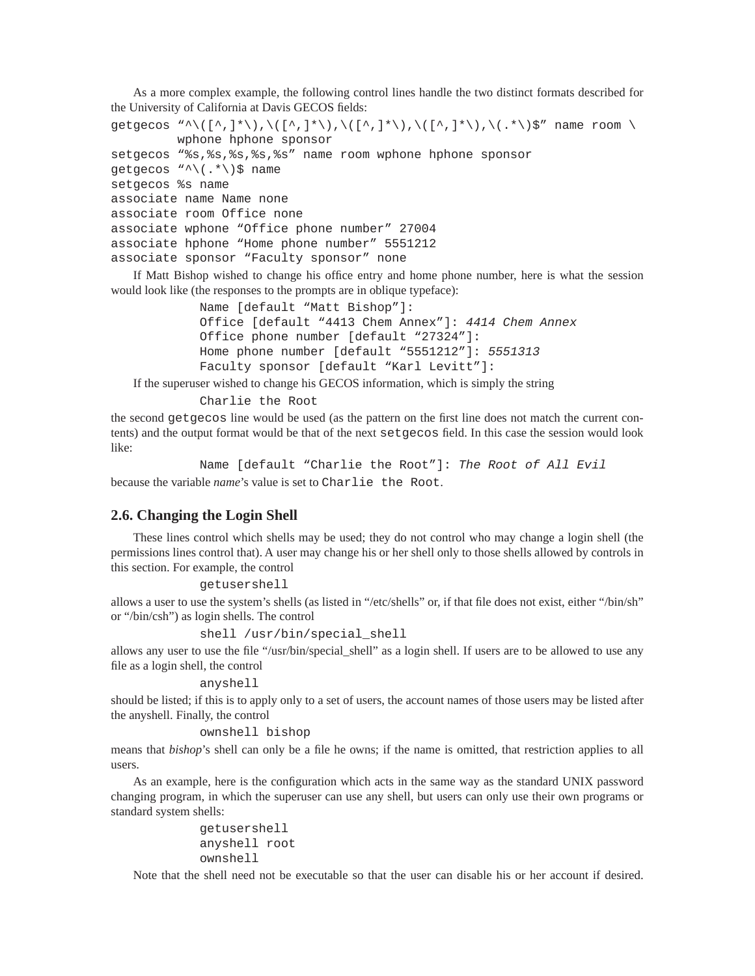As a more complex example, the following control lines handle the two distinct formats described for the University of California at Davis GECOS fields:

```
getgecos "^\([^,]*\),\([^,]*\),\([^,]*\),\([^,]*\),\(.*\)$" name room \
         wphone hphone sponsor
setgecos "%s,%s,%s,%s,%s" name room wphone hphone sponsor
getgecos "^\(.*\)$ name
setgecos %s name
associate name Name none
associate room Office none
associate wphone "Office phone number" 27004
associate hphone "Home phone number" 5551212
associate sponsor "Faculty sponsor" none
```
If Matt Bishop wished to change his office entry and home phone number, here is what the session would look like (the responses to the prompts are in oblique typeface):

```
Name [default "Matt Bishop"]:
Office [default "4413 Chem Annex"]: 4414 Chem Annex
Office phone number [default "27324"]:
Home phone number [default "5551212"]: 5551313
Faculty sponsor [default "Karl Levitt"]:
```
If the superuser wished to change his GECOS information, which is simply the string

Charlie the Root

the second getgecos line would be used (as the pattern on the first line does not match the current contents) and the output format would be that of the next setgecos field. In this case the session would look like:

```
Name [default "Charlie the Root"]: The Root of All Evil
because the variable name's value is set to Charlie the Root.
```
# **2.6. Changing the Login Shell**

These lines control which shells may be used; they do not control who may change a login shell (the permissions lines control that). A user may change his or her shell only to those shells allowed by controls in this section. For example, the control

```
getusershell
```
allows a user to use the system's shells (as listed in "/etc/shells" or, if that file does not exist, either "/bin/sh" or "/bin/csh") as login shells. The control

```
shell /usr/bin/special_shell
```
allows any user to use the file "/usr/bin/special\_shell" as a login shell. If users are to be allowed to use any file as a login shell, the control

#### anyshell

should be listed; if this is to apply only to a set of users, the account names of those users may be listed after the anyshell. Finally, the control

```
ownshell bishop
```
means that *bishop*'s shell can only be a file he owns; if the name is omitted, that restriction applies to all users.

As an example, here is the configuration which acts in the same way as the standard UNIX password changing program, in which the superuser can use any shell, but users can only use their own programs or standard system shells:

```
getusershell
anyshell root
ownshell
```
Note that the shell need not be executable so that the user can disable his or her account if desired.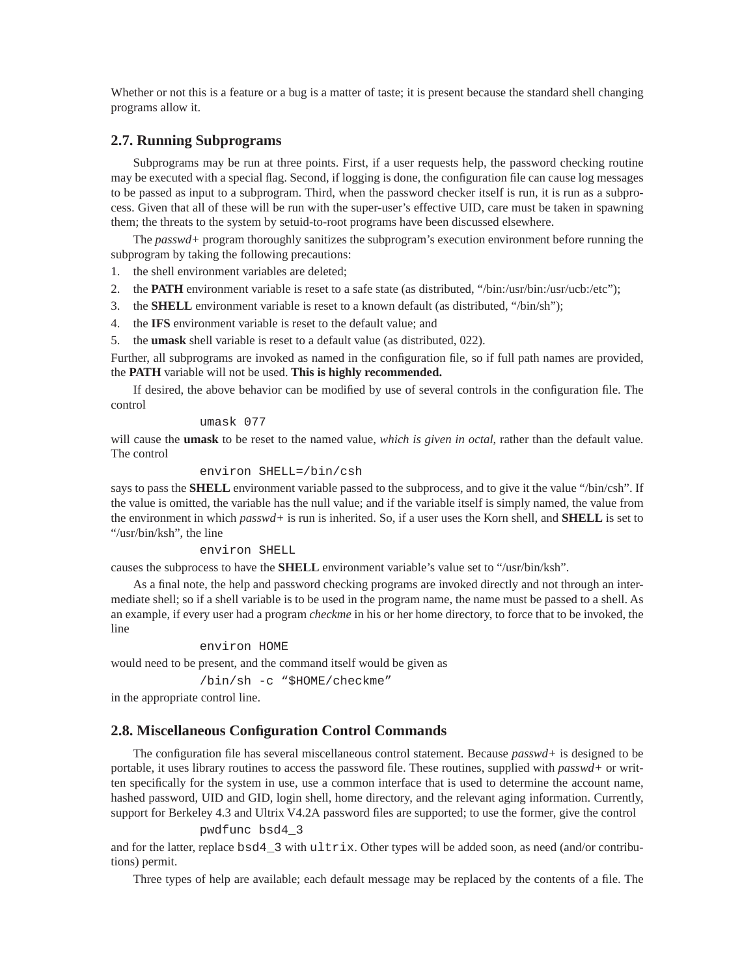Whether or not this is a feature or a bug is a matter of taste; it is present because the standard shell changing programs allow it.

# **2.7. Running Subprograms**

Subprograms may be run at three points. First, if a user requests help, the password checking routine may be executed with a special flag. Second, if logging is done, the configuration file can cause log messages to be passed as input to a subprogram. Third, when the password checker itself is run, it is run as a subprocess. Given that all of these will be run with the super-user's effective UID, care must be taken in spawning them; the threats to the system by setuid-to-root programs have been discussed elsewhere.

The *passwd+* program thoroughly sanitizes the subprogram's execution environment before running the subprogram by taking the following precautions:

1. the shell environment variables are deleted;

- 2. the **PATH** environment variable is reset to a safe state (as distributed, "/bin:/usr/bin:/usr/ucb:/etc");
- 3. the **SHELL** environment variable is reset to a known default (as distributed, "/bin/sh");
- 4. the **IFS** environment variable is reset to the default value; and

5. the **umask** shell variable is reset to a default value (as distributed, 022).

Further, all subprograms are invoked as named in the configuration file, so if full path names are provided, the **PATH** variable will not be used. **This is highly recommended.**

If desired, the above behavior can be modified by use of several controls in the configuration file. The control

#### umask 077

will cause the **umask** to be reset to the named value, *which is given in octal*, rather than the default value. The control

#### environ SHELL=/bin/csh

says to pass the **SHELL** environment variable passed to the subprocess, and to give it the value "/bin/csh". If the value is omitted, the variable has the null value; and if the variable itself is simply named, the value from the environment in which *passwd+* is run is inherited. So, if a user uses the Korn shell, and **SHELL** is set to "/usr/bin/ksh", the line

#### environ SHELL

causes the subprocess to have the **SHELL** environment variable's value set to "/usr/bin/ksh".

As a final note, the help and password checking programs are invoked directly and not through an intermediate shell; so if a shell variable is to be used in the program name, the name must be passed to a shell. As an example, if every user had a program *checkme* in his or her home directory, to force that to be invoked, the line

#### environ HOME

would need to be present, and the command itself would be given as

/bin/sh -c "\$HOME/checkme"

in the appropriate control line.

### **2.8. Miscellaneous Configuration Control Commands**

The configuration file has several miscellaneous control statement. Because *passwd+* is designed to be portable, it uses library routines to access the password file. These routines, supplied with *passwd+* or written specifically for the system in use, use a common interface that is used to determine the account name, hashed password, UID and GID, login shell, home directory, and the relevant aging information. Currently, support for Berkeley 4.3 and Ultrix V4.2A password files are supported; to use the former, give the control

#### pwdfunc bsd4\_3

and for the latter, replace bsd4\_3 with ultrix. Other types will be added soon, as need (and/or contributions) permit.

Three types of help are available; each default message may be replaced by the contents of a file. The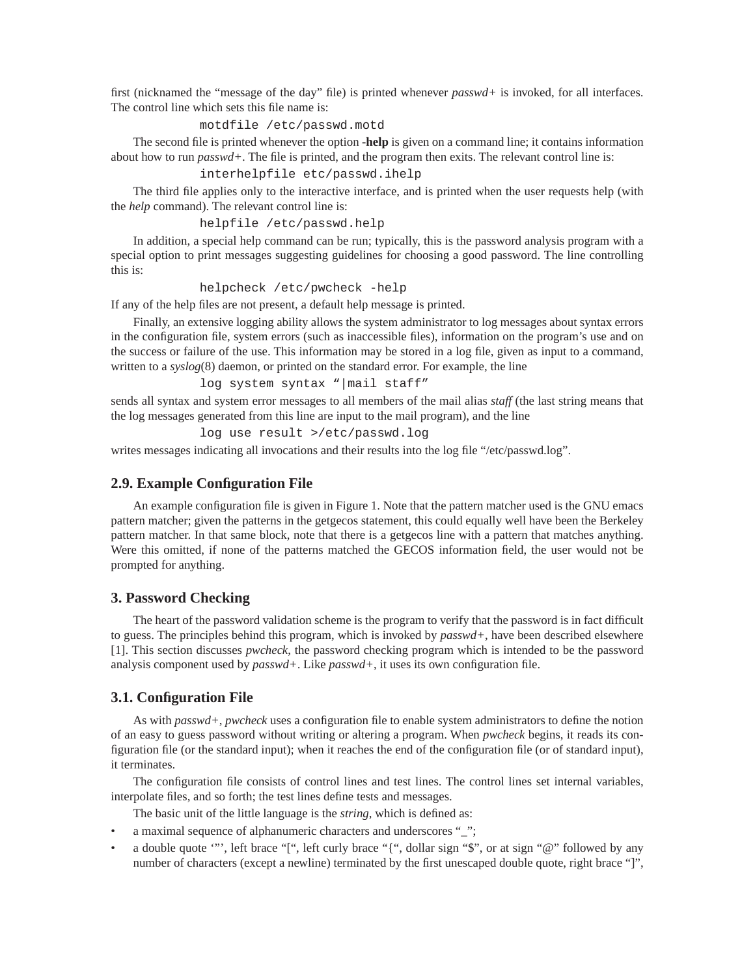first (nicknamed the "message of the day" file) is printed whenever *passwd+* is invoked, for all interfaces. The control line which sets this file name is:

#### motdfile /etc/passwd.motd

The second file is printed whenever the option **-help** is given on a command line; it contains information about how to run *passwd+*. The file is printed, and the program then exits. The relevant control line is:

interhelpfile etc/passwd.ihelp

The third file applies only to the interactive interface, and is printed when the user requests help (with the *help* command). The relevant control line is:

helpfile /etc/passwd.help

In addition, a special help command can be run; typically, this is the password analysis program with a special option to print messages suggesting guidelines for choosing a good password. The line controlling this is:

helpcheck /etc/pwcheck -help

If any of the help files are not present, a default help message is printed.

Finally, an extensive logging ability allows the system administrator to log messages about syntax errors in the configuration file, system errors (such as inaccessible files), information on the program's use and on the success or failure of the use. This information may be stored in a log file, given as input to a command, written to a *syslog*(8) daemon, or printed on the standard error. For example, the line

log system syntax "|mail staff"

sends all syntax and system error messages to all members of the mail alias *staff* (the last string means that the log messages generated from this line are input to the mail program), and the line

log use result >/etc/passwd.log

writes messages indicating all invocations and their results into the log file "/etc/passwd.log".

# **2.9. Example Configuration File**

An example configuration file is given in Figure 1. Note that the pattern matcher used is the GNU emacs pattern matcher; given the patterns in the getgecos statement, this could equally well have been the Berkeley pattern matcher. In that same block, note that there is a getgecos line with a pattern that matches anything. Were this omitted, if none of the patterns matched the GECOS information field, the user would not be prompted for anything.

### **3. Password Checking**

The heart of the password validation scheme is the program to verify that the password is in fact difficult to guess. The principles behind this program, which is invoked by *passwd+*, have been described elsewhere [1]. This section discusses *pwcheck*, the password checking program which is intended to be the password analysis component used by *passwd+*. Like *passwd+*, it uses its own configuration file.

# **3.1. Configuration File**

As with *passwd+*, *pwcheck* uses a configuration file to enable system administrators to define the notion of an easy to guess password without writing or altering a program. When *pwcheck* begins, it reads its configuration file (or the standard input); when it reaches the end of the configuration file (or of standard input), it terminates.

The configuration file consists of control lines and test lines. The control lines set internal variables, interpolate files, and so forth; the test lines define tests and messages.

The basic unit of the little language is the *string*, which is defined as:

- a maximal sequence of alphanumeric characters and underscores "\_";
- a double quote '"', left brace "[", left curly brace "{", dollar sign "\$", or at sign "@" followed by any number of characters (except a newline) terminated by the first unescaped double quote, right brace "]",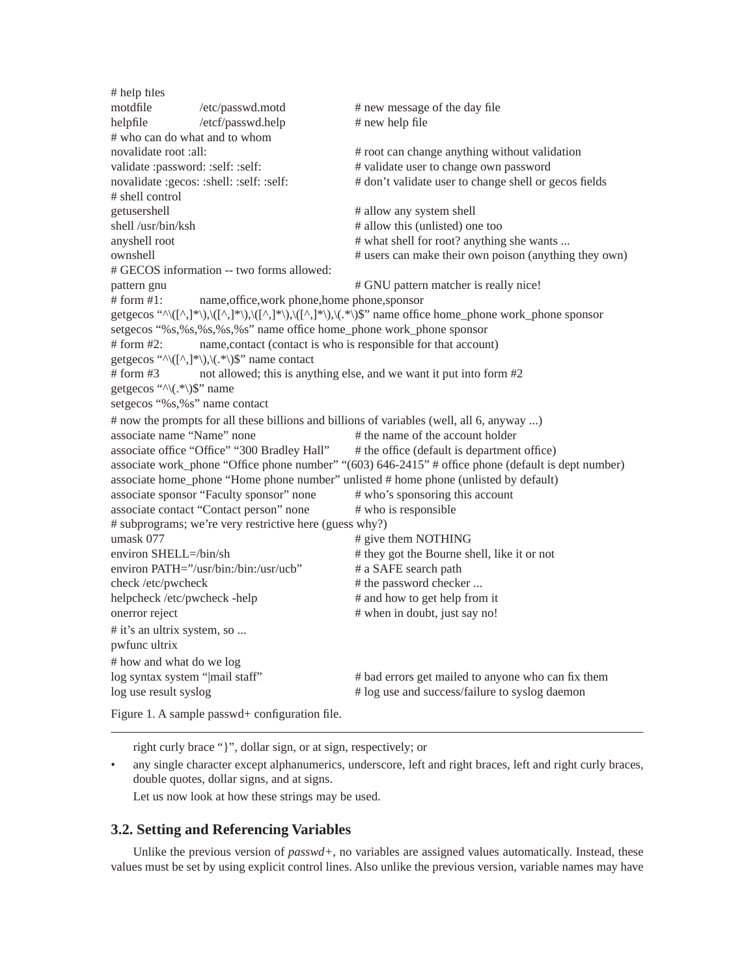# help files motdfile /etc/passwd.motd # new message of the day file helpfile /etcf/passwd.help # new help file # who can do what and to whom novalidate root :all:  $\#$  root can change anything without validation validate :password: :self: :self:  $\#$  validate user to change own password novalidate :gecos: :shell: :self: :self:  $#$  don't validate user to change shell or gecos fields # shell control getusershell  $\#$  allow any system shell shell /usr/bin/ksh # allow this (unlisted) one too anyshell root  $\#$  what shell for root? anything she wants ... ownshell # users can make their own poison (anything they own) # GECOS information -- two forms allowed: pattern gnu  $\#$  GNU pattern matcher is really nice! # form #1: name,office,work phone,home phone,sponsor getgecos " $\langle (\lceil^2, \lceil^* \rceil), \langle (\lceil^2, \lceil^* \rceil), \langle (\lceil^2, \lceil^* \rceil), \langle (\lceil^2, \lceil^* \rceil), \langle (\lceil^2, \lceil^* \rceil), \langle (\lceil^2, \lceil^* \rceil), \langle (\lceil^2, \lceil^* \rceil), \langle (\lceil^2, \lceil^* \rceil), \langle (\lceil^2, \lceil^* \rceil), \langle (\lceil^2, \lceil^* \rceil), \langle (\lceil^2, \lceil^* \rceil), \langle (\lceil^2, \lceil^* \rceil), \langle (\lceil^$ setgecos "%s,%s,%s,%s,%s" name office home\_phone work\_phone sponsor # form #2: name,contact (contact is who is responsible for that account) getgecos " $\langle (\lceil^{\wedge}, \rceil^{\ast} \rangle), \langle (\cdot^{\ast}) \rangle$ " name contact # form #3 not allowed; this is anything else, and we want it put into form #2 getgecos " $\land$  $\lor$ .\* $\lor$  $\$ " name setgecos "%s,%s" name contact # now the prompts for all these billions and billions of variables (well, all 6, anyway ...) associate name "Name" none # the name of the account holder associate office "Office" "300 Bradley Hall" # the office (default is department office) associate work\_phone "Office phone number" "(603) 646-2415" # office phone (default is dept number) associate home\_phone "Home phone number" unlisted # home phone (unlisted by default) associate sponsor "Faculty sponsor" none # who's sponsoring this account associate contact "Contact person" none # who is responsible # subprograms; we're very restrictive here (guess why?) umask 077 # give them NOTHING environ SHELL=/bin/sh # they got the Bourne shell, like it or not environ PATH="/usr/bin:/bin:/usr/ucb" # a SAFE search path check /etc/pwcheck # the password checker ... helpcheck /etc/pwcheck -help # and how to get help from it onerror reject # when in doubt, just say no! # it's an ultrix system, so ... pwfunc ultrix # how and what do we log log syntax system "|mail staff" # bad errors get mailed to anyone who can fix them log use result syslog # log use and success/failure to syslog daemon

Figure 1. A sample passwd+ configuration file.

right curly brace "}", dollar sign, or at sign, respectively; or

any single character except alphanumerics, underscore, left and right braces, left and right curly braces, double quotes, dollar signs, and at signs.

Let us now look at how these strings may be used.

# **3.2. Setting and Referencing Variables**

Unlike the previous version of *passwd+*, no variables are assigned values automatically. Instead, these values must be set by using explicit control lines. Also unlike the previous version, variable names may have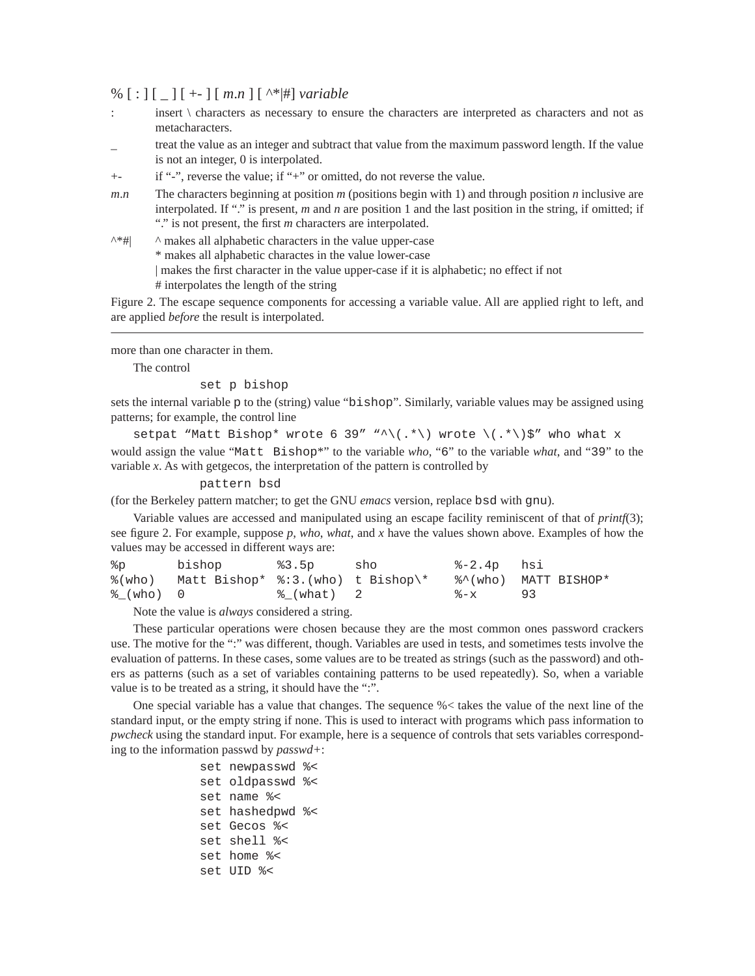# % [ : ] [ \_ ] [ +- ] [ *m*.*n* ] [ ^\*|#] *variable*

- : insert \ characters as necessary to ensure the characters are interpreted as characters and not as metacharacters.
- treat the value as an integer and subtract that value from the maximum password length. If the value is not an integer, 0 is interpolated.
- +- if "-", reverse the value; if "+" or omitted, do not reverse the value.
- *m*.*n* The characters beginning at position *m* (positions begin with 1) and through position *n* inclusive are interpolated. If "." is present, *m* and *n* are position 1 and the last position in the string, if omitted; if "." is not present, the first *m* characters are interpolated.
- $\wedge^*$ #|  $\wedge$  makes all alphabetic characters in the value upper-case \* makes all alphabetic charactes in the value lower-case | makes the first character in the value upper-case if it is alphabetic; no effect if not # interpolates the length of the string

Figure 2. The escape sequence components for accessing a variable value. All are applied right to left, and are applied *before* the result is interpolated.

more than one character in them.

The control

set p bishop

sets the internal variable p to the (string) value "bishop". Similarly, variable values may be assigned using patterns; for example, the control line

setpat "Matt Bishop\* wrote 6 39" "^\(.\*\) wrote \(.\*\)\$" who what x would assign the value "Matt Bishop\*" to the variable *who*, "6" to the variable *what*, and "39" to the variable *x*. As with getgecos, the interpretation of the pattern is controlled by

pattern bsd

(for the Berkeley pattern matcher; to get the GNU *emacs* version, replace bsd with gnu).

Variable values are accessed and manipulated using an escape facility reminiscent of that of *printf*(3); see figure 2. For example, suppose *p*, *who*, *what*, and *x* have the values shown above. Examples of how the values may be accessed in different ways are:

|           | %% %% %% %% bishop %3.5p                                      |            | %-2.4p hsi |  |
|-----------|---------------------------------------------------------------|------------|------------|--|
|           | %(who) Matt Bishop* %:3.(who) t Bishop\* %^(who) MATT BISHOP* |            |            |  |
| 웅 (who) 0 |                                                               | ៖ (what) 2 | - 8-x 93   |  |

Note the value is *always* considered a string.

These particular operations were chosen because they are the most common ones password crackers use. The motive for the ":" was different, though. Variables are used in tests, and sometimes tests involve the evaluation of patterns. In these cases, some values are to be treated as strings (such as the password) and others as patterns (such as a set of variables containing patterns to be used repeatedly). So, when a variable value is to be treated as a string, it should have the ":".

One special variable has a value that changes. The sequence %< takes the value of the next line of the standard input, or the empty string if none. This is used to interact with programs which pass information to *pwcheck* using the standard input. For example, here is a sequence of controls that sets variables corresponding to the information passwd by *passwd+*:

```
set newpasswd %<
set oldpasswd %<
set name %<
set hashedpwd %<
set Gecos %<
set shell %<
set home %<
set UID %<
```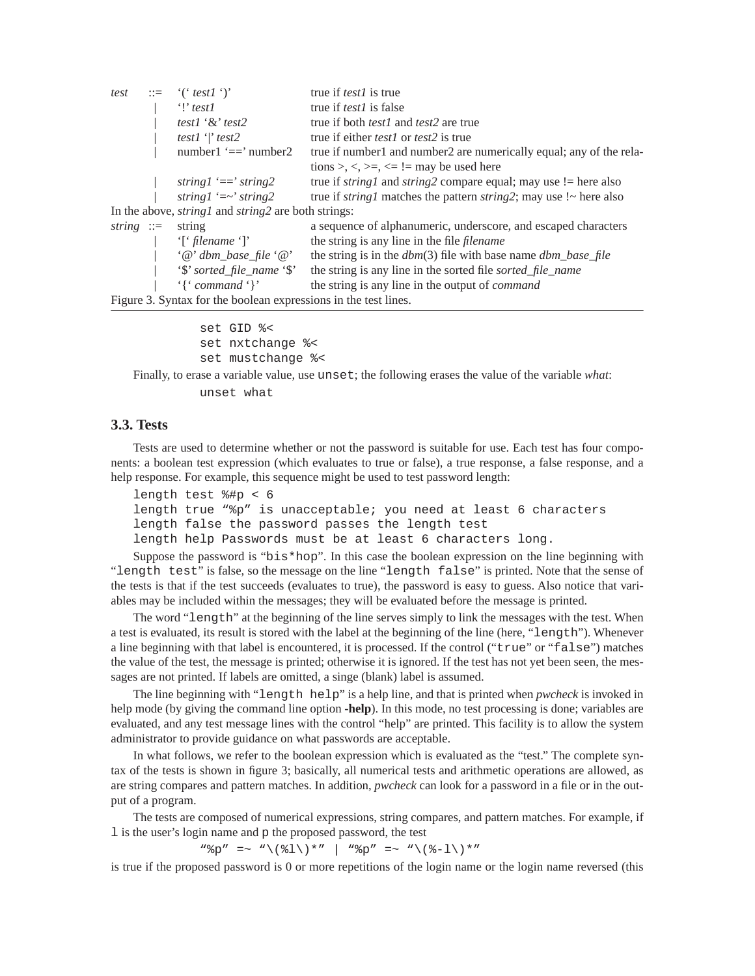| test          | $\equiv$ "('test1')'                                              | true if <i>test1</i> is true                                                         |
|---------------|-------------------------------------------------------------------|--------------------------------------------------------------------------------------|
|               | $\mathcal{L}$ test l                                              | true if <i>test1</i> is false                                                        |
|               | test1 ' $\&$ ' test2                                              | true if both <i>test1</i> and <i>test2</i> are true                                  |
|               | test1 $\lvert$ test2                                              | true if either <i>test1</i> or <i>test2</i> is true                                  |
|               | number1 $'=='$ number2                                            | true if number1 and number2 are numerically equal; any of the rela-                  |
|               |                                                                   | tions >, <, >=, <= != may be used here                                               |
|               | string $l' == 'string2$                                           | true if <i>string1</i> and <i>string2</i> compare equal; may use $!=$ here also      |
|               | string $l'=-$ string 2                                            | true if <i>string1</i> matches the pattern <i>string2</i> ; may use $\sim$ here also |
|               | In the above, <i>string1</i> and <i>string2</i> are both strings: |                                                                                      |
| string $ ::=$ | string                                                            | a sequence of alphanumeric, underscore, and escaped characters                       |
|               | 'f' filename ' $\mathcal{C}$ '                                    | the string is any line in the file <i>filename</i>                                   |
|               | $\cdot \omega$ dbm_base_file $\cdot \omega$                       | the string is in the $dbm(3)$ file with base name $dbm\_base\_file$                  |
|               | '\$' sorted_file_name '\$'                                        | the string is any line in the sorted file sorted file name                           |
|               | $\{$ $\mathcal{L}$ command $\{$ $\}$                              | the string is any line in the output of <i>command</i>                               |
|               | Figure 3. Syntax for the boolean expressions in the test lines.   |                                                                                      |

set GID %< set nxtchange %< set mustchange %<

Finally, to erase a variable value, use unset; the following erases the value of the variable *what*:

unset what

### **3.3. Tests**

Tests are used to determine whether or not the password is suitable for use. Each test has four components: a boolean test expression (which evaluates to true or false), a true response, a false response, and a help response. For example, this sequence might be used to test password length:

```
length test %#p < 6
length true "%p" is unacceptable; you need at least 6 characters
length false the password passes the length test
length help Passwords must be at least 6 characters long.
```
Suppose the password is "bis\*hop". In this case the boolean expression on the line beginning with "length test" is false, so the message on the line "length false" is printed. Note that the sense of the tests is that if the test succeeds (evaluates to true), the password is easy to guess. Also notice that variables may be included within the messages; they will be evaluated before the message is printed.

The word "length" at the beginning of the line serves simply to link the messages with the test. When a test is evaluated, its result is stored with the label at the beginning of the line (here, "length"). Whenever a line beginning with that label is encountered, it is processed. If the control ("true" or "false") matches the value of the test, the message is printed; otherwise it is ignored. If the test has not yet been seen, the messages are not printed. If labels are omitted, a singe (blank) label is assumed.

The line beginning with "length help" is a help line, and that is printed when *pwcheck* is invoked in help mode (by giving the command line option **-help**). In this mode, no test processing is done; variables are evaluated, and any test message lines with the control "help" are printed. This facility is to allow the system administrator to provide guidance on what passwords are acceptable.

In what follows, we refer to the boolean expression which is evaluated as the "test." The complete syntax of the tests is shown in figure 3; basically, all numerical tests and arithmetic operations are allowed, as are string compares and pattern matches. In addition, *pwcheck* can look for a password in a file or in the output of a program.

The tests are composed of numerical expressions, string compares, and pattern matches. For example, if l is the user's login name and p the proposed password, the test

 $"\%p" = ~ "\(81)\*" | "\%p" = ~ "\(8-1)\*"$ 

is true if the proposed password is 0 or more repetitions of the login name or the login name reversed (this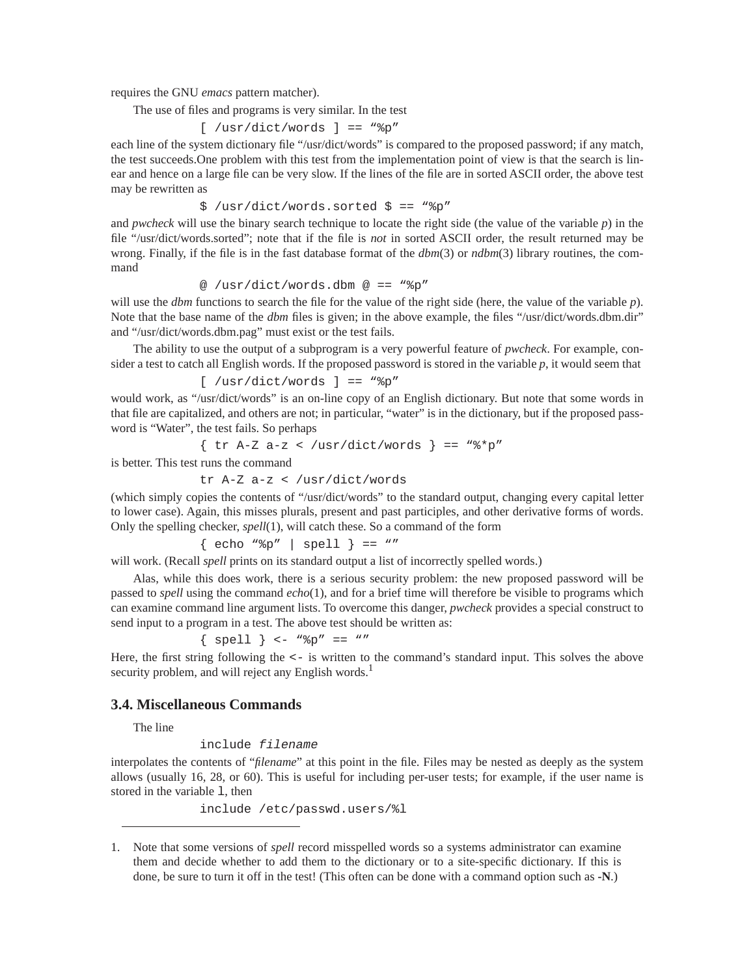requires the GNU *emacs* pattern matcher).

The use of files and programs is very similar. In the test

```
[ /usr/dict/words ] == "%p"
```
each line of the system dictionary file "/usr/dict/words" is compared to the proposed password; if any match, the test succeeds.One problem with this test from the implementation point of view is that the search is linear and hence on a large file can be very slow. If the lines of the file are in sorted ASCII order, the above test may be rewritten as

\$ /usr/dict/words.sorted \$ == "%p"

and *pwcheck* will use the binary search technique to locate the right side (the value of the variable *p*) in the file "/usr/dict/words.sorted"; note that if the file is *not* in sorted ASCII order, the result returned may be wrong. Finally, if the file is in the fast database format of the *dbm*(3) or *ndbm*(3) library routines, the command

@ /usr/dict/words.dbm @ == "%p"

will use the *dbm* functions to search the file for the value of the right side (here, the value of the variable *p*). Note that the base name of the *dbm* files is given; in the above example, the files "/usr/dict/words.dbm.dir" and "/usr/dict/words.dbm.pag" must exist or the test fails.

The ability to use the output of a subprogram is a very powerful feature of *pwcheck*. For example, consider a test to catch all English words. If the proposed password is stored in the variable *p*, it would seem that

$$
[ /usr/dict/words ] == "\$p"
$$

would work, as "/usr/dict/words" is an on-line copy of an English dictionary. But note that some words in that file are capitalized, and others are not; in particular, "water" is in the dictionary, but if the proposed password is "Water", the test fails. So perhaps

$$
\{ \text{tr A-Z a-z} < /usr/dict/words} \ = = "\% *p"
$$

is better. This test runs the command

tr A-Z a-z < /usr/dict/words

(which simply copies the contents of "/usr/dict/words" to the standard output, changing every capital letter to lower case). Again, this misses plurals, present and past participles, and other derivative forms of words. Only the spelling checker, *spell*(1), will catch these. So a command of the form

 $\{$  echo "%p" | spell  $\}$  == ""

will work. (Recall *spell* prints on its standard output a list of incorrectly spelled words.)

Alas, while this does work, there is a serious security problem: the new proposed password will be passed to *spell* using the command *echo*(1), and for a brief time will therefore be visible to programs which can examine command line argument lists. To overcome this danger, *pwcheck* provides a special construct to send input to a program in a test. The above test should be written as:

 $\{$  spell  $\}$  <- " $p'' == "''$ 

Here, the first string following the  $\leq$ - is written to the command's standard input. This solves the above security problem, and will reject any English words.<sup>1</sup>

# **3.4. Miscellaneous Commands**

The line

include filename

interpolates the contents of "*filename*" at this point in the file. Files may be nested as deeply as the system allows (usually 16, 28, or 60). This is useful for including per-user tests; for example, if the user name is stored in the variable 1, then

include /etc/passwd.users/%l

<sup>1.</sup> Note that some versions of *spell* record misspelled words so a systems administrator can examine them and decide whether to add them to the dictionary or to a site-specific dictionary. If this is done, be sure to turn it off in the test! (This often can be done with a command option such as **-N**.)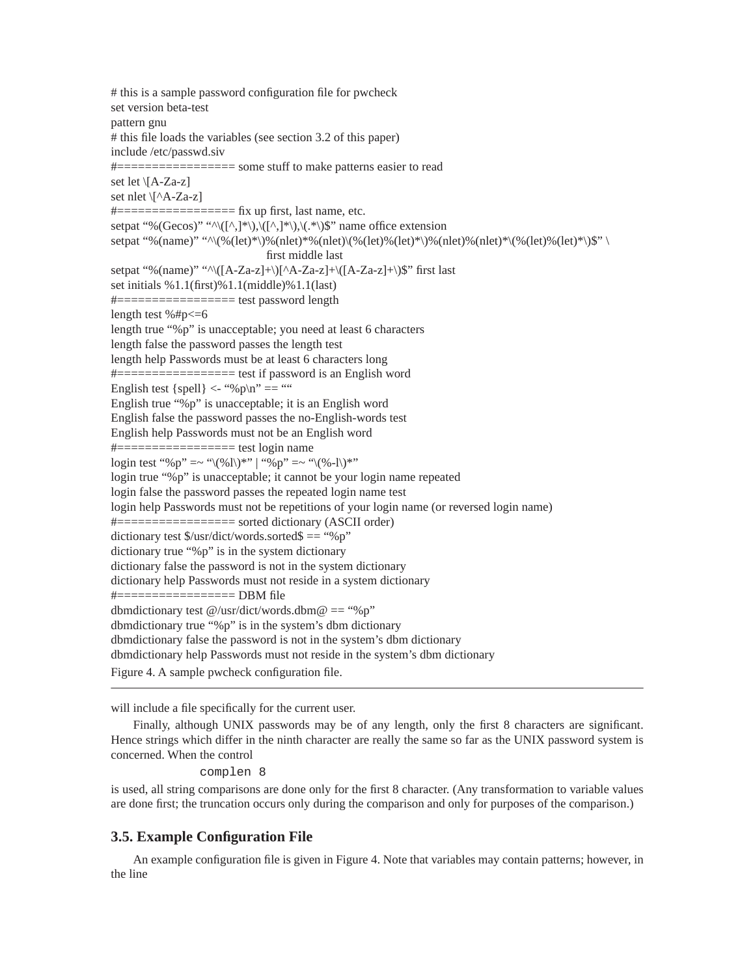# this is a sample password configuration file for pwcheck set version beta-test pattern gnu # this file loads the variables (see section 3.2 of this paper) include /etc/passwd.siv #================= some stuff to make patterns easier to read set let \[A-Za-z] set nlet \[^A-Za-z]  $\#$ ====================== fix up first, last name, etc. setpat "%(Gecos)" "^\([^,]\*\),\([^,]\*\),\(.\*\)\$" name office extension setpat "%(name)" "^\(%(let)\*\)%(nlet)\*%(nlet)\(%(let)%(let)\*\)%(nlet)%(nlet)\*\(%(let)%(let)\*\)\$" \ first middle last setpat "%(name)" "^\([A-Za-z]+\)[^A-Za-z]+\([A-Za-z]+\)\$" first last set initials %1.1(first)%1.1(middle)%1.1(last) #================= test password length length test  $\%$ #p $\leq$ =6 length true "%p" is unacceptable; you need at least 6 characters length false the password passes the length test length help Passwords must be at least 6 characters long  $\#$ ==================== test if password is an English word English test {spell}  $\langle$ - "%p\n" == "" English true "%p" is unacceptable; it is an English word English false the password passes the no-English-words test English help Passwords must not be an English word #================= test login name login test "%p" =~ "\(%l\)\*" | "%p" =~ "\(%-l\)\*" login true "%p" is unacceptable; it cannot be your login name repeated login false the password passes the repeated login name test login help Passwords must not be repetitions of your login name (or reversed login name) #================= sorted dictionary (ASCII order) dictionary test  $\frac{1}{2}$  /usr/dict/words.sorted  $\frac{1}{2}$  = "%p" dictionary true "%p" is in the system dictionary dictionary false the password is not in the system dictionary dictionary help Passwords must not reside in a system dictionary  $\#$ ====================== DBM file dbmdictionary test @/usr/dict/words.dbm@ == "%p" dbmdictionary true "%p" is in the system's dbm dictionary dbmdictionary false the password is not in the system's dbm dictionary dbmdictionary help Passwords must not reside in the system's dbm dictionary Figure 4. A sample pwcheck configuration file.

will include a file specifically for the current user.

Finally, although UNIX passwords may be of any length, only the first 8 characters are significant. Hence strings which differ in the ninth character are really the same so far as the UNIX password system is concerned. When the control

#### complen 8

is used, all string comparisons are done only for the first 8 character. (Any transformation to variable values are done first; the truncation occurs only during the comparison and only for purposes of the comparison.)

# **3.5. Example Configuration File**

An example configuration file is given in Figure 4. Note that variables may contain patterns; however, in the line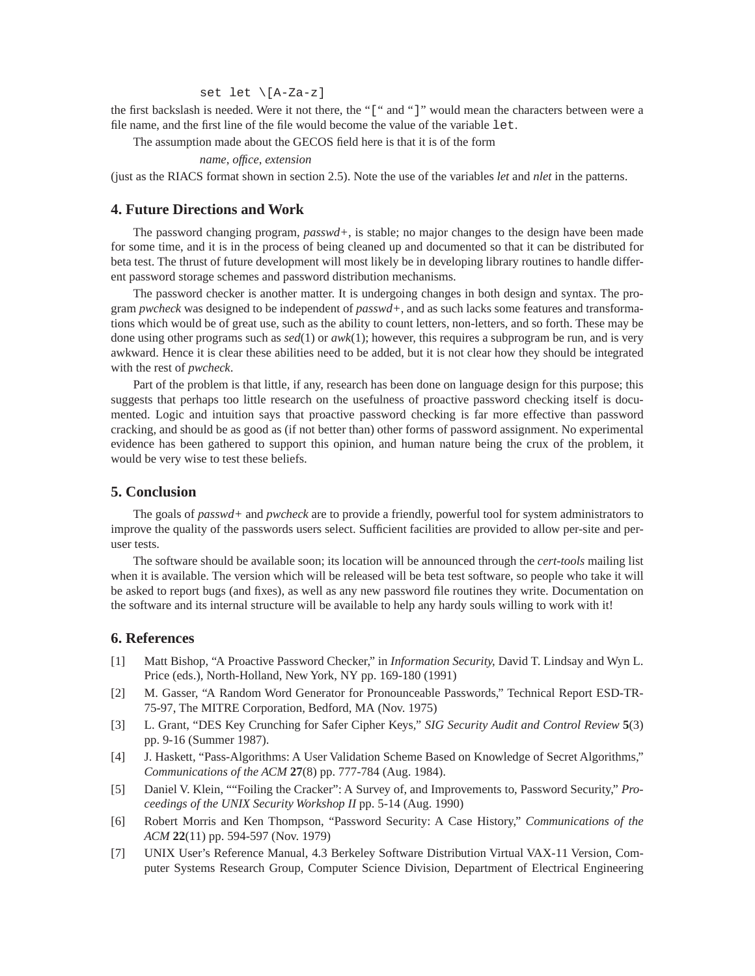### set let \[A-Za-z]

the first backslash is needed. Were it not there, the "[" and "]" would mean the characters between were a file name, and the first line of the file would become the value of the variable let.

The assumption made about the GECOS field here is that it is of the form

*name*, *office*, *extension*

(just as the RIACS format shown in section 2.5). Note the use of the variables *let* and *nlet* in the patterns.

# **4. Future Directions and Work**

The password changing program, *passwd+*, is stable; no major changes to the design have been made for some time, and it is in the process of being cleaned up and documented so that it can be distributed for beta test. The thrust of future development will most likely be in developing library routines to handle different password storage schemes and password distribution mechanisms.

The password checker is another matter. It is undergoing changes in both design and syntax. The program *pwcheck* was designed to be independent of *passwd+*, and as such lacks some features and transformations which would be of great use, such as the ability to count letters, non-letters, and so forth. These may be done using other programs such as *sed*(1) or *awk*(1); however, this requires a subprogram be run, and is very awkward. Hence it is clear these abilities need to be added, but it is not clear how they should be integrated with the rest of *pwcheck*.

Part of the problem is that little, if any, research has been done on language design for this purpose; this suggests that perhaps too little research on the usefulness of proactive password checking itself is documented. Logic and intuition says that proactive password checking is far more effective than password cracking, and should be as good as (if not better than) other forms of password assignment. No experimental evidence has been gathered to support this opinion, and human nature being the crux of the problem, it would be very wise to test these beliefs.

### **5. Conclusion**

The goals of *passwd+* and *pwcheck* are to provide a friendly, powerful tool for system administrators to improve the quality of the passwords users select. Sufficient facilities are provided to allow per-site and peruser tests.

The software should be available soon; its location will be announced through the *cert-tools* mailing list when it is available. The version which will be released will be beta test software, so people who take it will be asked to report bugs (and fixes), as well as any new password file routines they write. Documentation on the software and its internal structure will be available to help any hardy souls willing to work with it!

# **6. References**

- [1] Matt Bishop, "A Proactive Password Checker," in *Information Security*, David T. Lindsay and Wyn L. Price (eds.), North-Holland, New York, NY pp. 169-180 (1991)
- [2] M. Gasser, "A Random Word Generator for Pronounceable Passwords," Technical Report ESD-TR-75-97, The MITRE Corporation, Bedford, MA (Nov. 1975)
- [3] L. Grant, "DES Key Crunching for Safer Cipher Keys*," SIG Security Audit and Control Review* **5**(3) pp. 9-16 (Summer 1987).
- [4] J. Haskett, "Pass-Algorithms: A User Validation Scheme Based on Knowledge of Secret Algorithms," *Communications of the ACM* **27**(8) pp. 777-784 (Aug. 1984).
- [5] Daniel V. Klein, ""Foiling the Cracker": A Survey of, and Improvements to, Password Security," *Proceedings of the UNIX Security Workshop II* pp. 5-14 (Aug. 1990)
- [6] Robert Morris and Ken Thompson, "Password Security: A Case History," *Communications of the ACM* **22**(11) pp. 594-597 (Nov. 1979)
- [7] UNIX User's Reference Manual, 4.3 Berkeley Software Distribution Virtual VAX-11 Version, Computer Systems Research Group, Computer Science Division, Department of Electrical Engineering